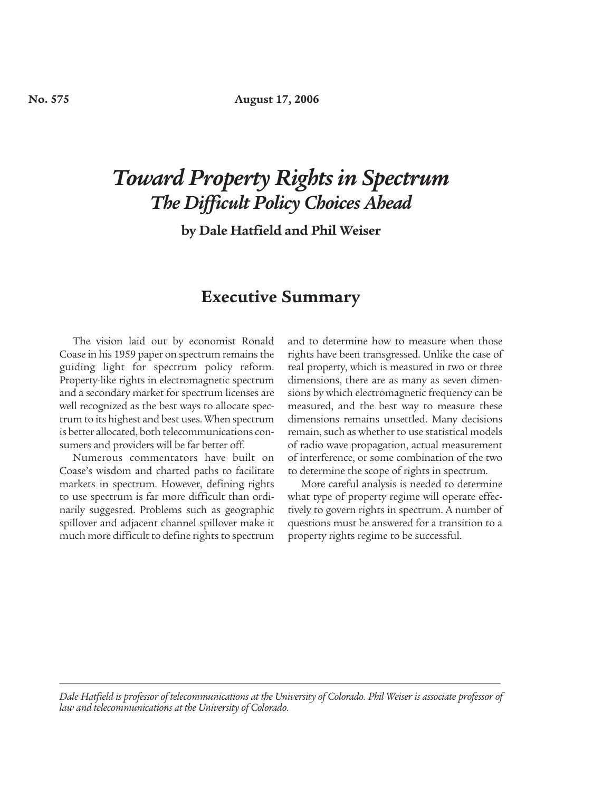# *Toward Property Rights in Spectrum The Difficult Policy Choices Ahead*

**by Dale Hatfield and Phil Weiser**

# **Executive Summary**

The vision laid out by economist Ronald Coase in his 1959 paper on spectrum remains the guiding light for spectrum policy reform. Property-like rights in electromagnetic spectrum and a secondary market for spectrum licenses are well recognized as the best ways to allocate spectrum to its highest and best uses. When spectrum is better allocated, both telecommunications consumers and providers will be far better off.

Numerous commentators have built on Coase's wisdom and charted paths to facilitate markets in spectrum. However, defining rights to use spectrum is far more difficult than ordinarily suggested. Problems such as geographic spillover and adjacent channel spillover make it much more difficult to define rights to spectrum and to determine how to measure when those rights have been transgressed. Unlike the case of real property, which is measured in two or three dimensions, there are as many as seven dimensions by which electromagnetic frequency can be measured, and the best way to measure these dimensions remains unsettled. Many decisions remain, such as whether to use statistical models of radio wave propagation, actual measurement of interference, or some combination of the two to determine the scope of rights in spectrum.

More careful analysis is needed to determine what type of property regime will operate effectively to govern rights in spectrum. A number of questions must be answered for a transition to a property rights regime to be successful.

*Dale Hatfield is professor of telecommunications at the University of Colorado. Phil Weiser is associate professor of law and telecommunications at the University of Colorado.* 

*\_\_\_\_\_\_\_\_\_\_\_\_\_\_\_\_\_\_\_\_\_\_\_\_\_\_\_\_\_\_\_\_\_\_\_\_\_\_\_\_\_\_\_\_\_\_\_\_\_\_\_\_\_\_\_\_\_\_\_\_\_\_\_\_\_\_\_\_\_\_\_\_\_\_\_\_\_\_\_\_\_\_\_\_\_\_\_\_\_\_\_\_\_\_\_\_\_\_\_\_\_*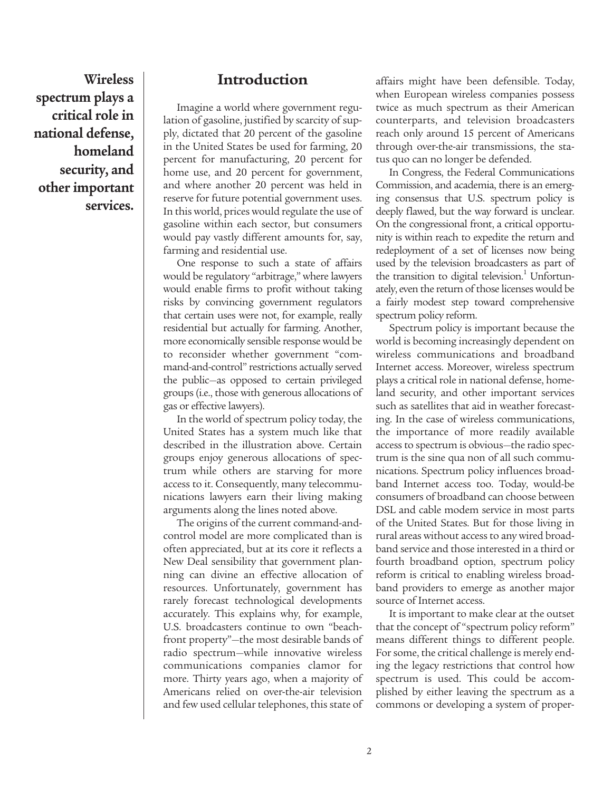**Wireless spectrum plays a critical role in national defense, homeland security, and other important services.**

## **Introduction**

Imagine a world where government regulation of gasoline, justified by scarcity of supply, dictated that 20 percent of the gasoline in the United States be used for farming, 20 percent for manufacturing, 20 percent for home use, and 20 percent for government, and where another 20 percent was held in reserve for future potential government uses. In this world, prices would regulate the use of gasoline within each sector, but consumers would pay vastly different amounts for, say, farming and residential use.

One response to such a state of affairs would be regulatory "arbitrage," where lawyers would enable firms to profit without taking risks by convincing government regulators that certain uses were not, for example, really residential but actually for farming. Another, more economically sensible response would be to reconsider whether government "command-and-control" restrictions actually served the public—as opposed to certain privileged groups (i.e., those with generous allocations of gas or effective lawyers).

In the world of spectrum policy today, the United States has a system much like that described in the illustration above. Certain groups enjoy generous allocations of spectrum while others are starving for more access to it. Consequently, many telecommunications lawyers earn their living making arguments along the lines noted above.

The origins of the current command-andcontrol model are more complicated than is often appreciated, but at its core it reflects a New Deal sensibility that government planning can divine an effective allocation of resources. Unfortunately, government has rarely forecast technological developments accurately. This explains why, for example, U.S. broadcasters continue to own "beachfront property"—the most desirable bands of radio spectrum—while innovative wireless communications companies clamor for more. Thirty years ago, when a majority of Americans relied on over-the-air television and few used cellular telephones, this state of

affairs might have been defensible. Today, when European wireless companies possess twice as much spectrum as their American counterparts, and television broadcasters reach only around 15 percent of Americans through over-the-air transmissions, the status quo can no longer be defended.

In Congress, the Federal Communications Commission, and academia, there is an emerging consensus that U.S. spectrum policy is deeply flawed, but the way forward is unclear. On the congressional front, a critical opportunity is within reach to expedite the return and redeployment of a set of licenses now being used by the television broadcasters as part of the transition to digital television.<sup>1</sup> Unfortunately, even the return of those licenses would be a fairly modest step toward comprehensive spectrum policy reform.

Spectrum policy is important because the world is becoming increasingly dependent on wireless communications and broadband Internet access. Moreover, wireless spectrum plays a critical role in national defense, homeland security, and other important services such as satellites that aid in weather forecasting. In the case of wireless communications, the importance of more readily available access to spectrum is obvious—the radio spectrum is the sine qua non of all such communications. Spectrum policy influences broadband Internet access too. Today, would-be consumers of broadband can choose between DSL and cable modem service in most parts of the United States. But for those living in rural areas without access to any wired broadband service and those interested in a third or fourth broadband option, spectrum policy reform is critical to enabling wireless broadband providers to emerge as another major source of Internet access.

It is important to make clear at the outset that the concept of "spectrum policy reform" means different things to different people. For some, the critical challenge is merely ending the legacy restrictions that control how spectrum is used. This could be accomplished by either leaving the spectrum as a commons or developing a system of proper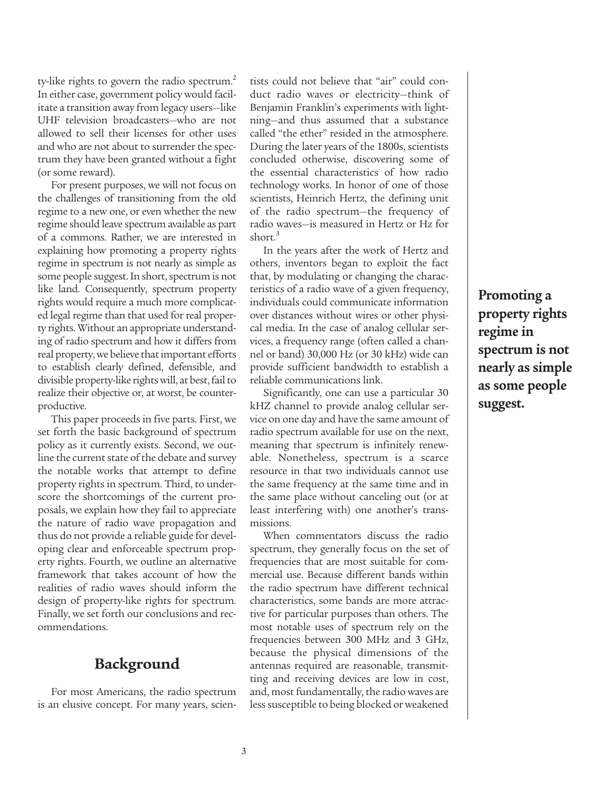ty-like rights to govern the radio spectrum.<sup>2</sup> In either case, government policy would facilitate a transition away from legacy users—like UHF television broadcasters—who are not allowed to sell their licenses for other uses and who are not about to surrender the spectrum they have been granted without a fight (or some reward).

For present purposes, we will not focus on the challenges of transitioning from the old regime to a new one, or even whether the new regime should leave spectrum available as part of a commons. Rather, we are interested in explaining how promoting a property rights regime in spectrum is not nearly as simple as some people suggest. In short, spectrum is not like land. Consequently, spectrum property rights would require a much more complicated legal regime than that used for real property rights. Without an appropriate understanding of radio spectrum and how it differs from real property, we believe that important efforts to establish clearly defined, defensible, and divisible property-like rights will, at best, fail to realize their objective or, at worst, be counterproductive.

This paper proceeds in five parts. First, we set forth the basic background of spectrum policy as it currently exists. Second, we outline the current state of the debate and survey the notable works that attempt to define property rights in spectrum. Third, to underscore the shortcomings of the current proposals, we explain how they fail to appreciate the nature of radio wave propagation and thus do not provide a reliable guide for developing clear and enforceable spectrum property rights. Fourth, we outline an alternative framework that takes account of how the realities of radio waves should inform the design of property-like rights for spectrum. Finally, we set forth our conclusions and recommendations.

# **Background**

For most Americans, the radio spectrum is an elusive concept. For many years, scien-

tists could not believe that "air" could conduct radio waves or electricity—think of Benjamin Franklin's experiments with lightning—and thus assumed that a substance called "the ether" resided in the atmosphere. During the later years of the 1800s, scientists concluded otherwise, discovering some of the essential characteristics of how radio technology works. In honor of one of those scientists, Heinrich Hertz, the defining unit of the radio spectrum—the frequency of radio waves—is measured in Hertz or Hz for short.<sup>3</sup>

In the years after the work of Hertz and others, inventors began to exploit the fact that, by modulating or changing the characteristics of a radio wave of a given frequency, individuals could communicate information over distances without wires or other physical media. In the case of analog cellular services, a frequency range (often called a channel or band) 30,000 Hz (or 30 kHz) wide can provide sufficient bandwidth to establish a reliable communications link.

Significantly, one can use a particular 30 kHZ channel to provide analog cellular service on one day and have the same amount of radio spectrum available for use on the next, meaning that spectrum is infinitely renewable. Nonetheless, spectrum is a scarce resource in that two individuals cannot use the same frequency at the same time and in the same place without canceling out (or at least interfering with) one another's transmissions.

When commentators discuss the radio spectrum, they generally focus on the set of frequencies that are most suitable for commercial use. Because different bands within the radio spectrum have different technical characteristics, some bands are more attractive for particular purposes than others. The most notable uses of spectrum rely on the frequencies between 300 MHz and 3 GHz, because the physical dimensions of the antennas required are reasonable, transmitting and receiving devices are low in cost, and, most fundamentally, the radio waves are less susceptible to being blocked or weakened

**Promoting a property rights regime in spectrum is not nearly as simple as some people suggest.**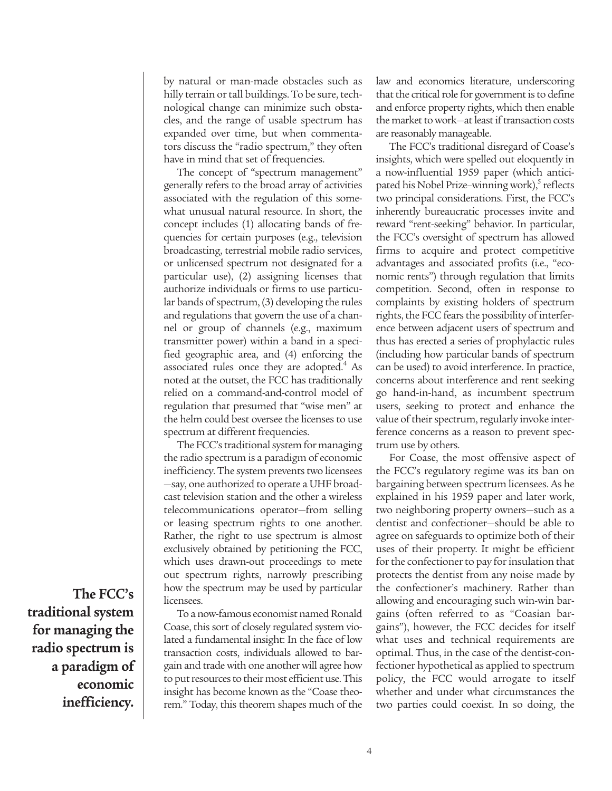by natural or man-made obstacles such as hilly terrain or tall buildings. To be sure, technological change can minimize such obstacles, and the range of usable spectrum has expanded over time, but when commentators discuss the "radio spectrum," they often have in mind that set of frequencies.

The concept of "spectrum management" generally refers to the broad array of activities associated with the regulation of this somewhat unusual natural resource. In short, the concept includes (1) allocating bands of frequencies for certain purposes (e.g., television broadcasting, terrestrial mobile radio services, or unlicensed spectrum not designated for a particular use), (2) assigning licenses that authorize individuals or firms to use particular bands of spectrum, (3) developing the rules and regulations that govern the use of a channel or group of channels (e.g., maximum transmitter power) within a band in a specified geographic area, and (4) enforcing the associated rules once they are adopted. $4$  As noted at the outset, the FCC has traditionally relied on a command-and-control model of regulation that presumed that "wise men" at the helm could best oversee the licenses to use spectrum at different frequencies.

The FCC's traditional system for managing the radio spectrum is a paradigm of economic inefficiency. The system prevents two licensees —say, one authorized to operate a UHF broadcast television station and the other a wireless telecommunications operator—from selling or leasing spectrum rights to one another. Rather, the right to use spectrum is almost exclusively obtained by petitioning the FCC, which uses drawn-out proceedings to mete out spectrum rights, narrowly prescribing how the spectrum may be used by particular licensees.

To a now-famous economist named Ronald Coase, this sort of closely regulated system violated a fundamental insight: In the face of low transaction costs, individuals allowed to bargain and trade with one another will agree how to put resources to their most efficient use. This insight has become known as the "Coase theorem." Today, this theorem shapes much of the law and economics literature, underscoring that the critical role for government is to define and enforce property rights, which then enable the market to work—at least if transaction costs are reasonably manageable.

The FCC's traditional disregard of Coase's insights, which were spelled out eloquently in a now-influential 1959 paper (which anticipated his Nobel Prize–winning work),<sup>5</sup> reflects two principal considerations. First, the FCC's inherently bureaucratic processes invite and reward "rent-seeking" behavior. In particular, the FCC's oversight of spectrum has allowed firms to acquire and protect competitive advantages and associated profits (i.e., "economic rents") through regulation that limits competition. Second, often in response to complaints by existing holders of spectrum rights, the FCC fears the possibility of interference between adjacent users of spectrum and thus has erected a series of prophylactic rules (including how particular bands of spectrum can be used) to avoid interference. In practice, concerns about interference and rent seeking go hand-in-hand, as incumbent spectrum users, seeking to protect and enhance the value of their spectrum, regularly invoke interference concerns as a reason to prevent spectrum use by others.

For Coase, the most offensive aspect of the FCC's regulatory regime was its ban on bargaining between spectrum licensees. As he explained in his 1959 paper and later work, two neighboring property owners—such as a dentist and confectioner—should be able to agree on safeguards to optimize both of their uses of their property. It might be efficient for the confectioner to pay for insulation that protects the dentist from any noise made by the confectioner's machinery. Rather than allowing and encouraging such win-win bargains (often referred to as "Coasian bargains"), however, the FCC decides for itself what uses and technical requirements are optimal. Thus, in the case of the dentist-confectioner hypothetical as applied to spectrum policy, the FCC would arrogate to itself whether and under what circumstances the two parties could coexist. In so doing, the

**The FCC's traditional system for managing the radio spectrum is a paradigm of economic inefficiency.**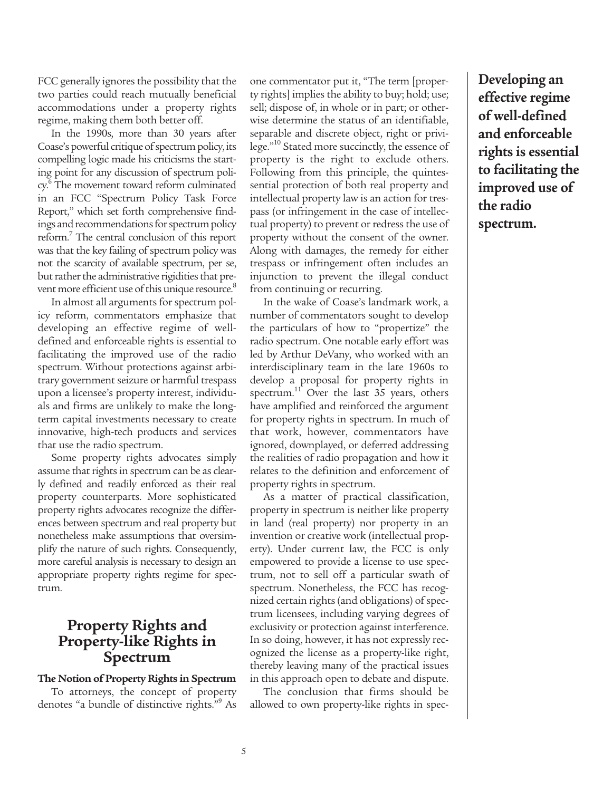FCC generally ignores the possibility that the two parties could reach mutually beneficial accommodations under a property rights regime, making them both better off.

In the 1990s, more than 30 years after Coase's powerful critique of spectrum policy, its compelling logic made his criticisms the starting point for any discussion of spectrum policy. <sup>6</sup> The movement toward reform culminated in an FCC "Spectrum Policy Task Force Report," which set forth comprehensive findings and recommendations for spectrum policy reform.<sup>7</sup> The central conclusion of this report was that the key failing of spectrum policy was not the scarcity of available spectrum, per se, but rather the administrative rigidities that prevent more efficient use of this unique resource.<sup>8</sup>

In almost all arguments for spectrum policy reform, commentators emphasize that developing an effective regime of welldefined and enforceable rights is essential to facilitating the improved use of the radio spectrum. Without protections against arbitrary government seizure or harmful trespass upon a licensee's property interest, individuals and firms are unlikely to make the longterm capital investments necessary to create innovative, high-tech products and services that use the radio spectrum.

Some property rights advocates simply assume that rights in spectrum can be as clearly defined and readily enforced as their real property counterparts. More sophisticated property rights advocates recognize the differences between spectrum and real property but nonetheless make assumptions that oversimplify the nature of such rights. Consequently, more careful analysis is necessary to design an appropriate property rights regime for spectrum.

# **Property Rights and Property-like Rights in Spectrum**

#### **The Notion of Property Rights in Spectrum**

To attorneys, the concept of property denotes "a bundle of distinctive rights."<sup>9</sup> As

one commentator put it, "The term [property rights] implies the ability to buy; hold; use; sell; dispose of, in whole or in part; or otherwise determine the status of an identifiable, separable and discrete object, right or privilege."<sup>10</sup> Stated more succinctly, the essence of property is the right to exclude others. Following from this principle, the quintessential protection of both real property and intellectual property law is an action for trespass (or infringement in the case of intellectual property) to prevent or redress the use of property without the consent of the owner. Along with damages, the remedy for either trespass or infringement often includes an injunction to prevent the illegal conduct from continuing or recurring.

In the wake of Coase's landmark work, a number of commentators sought to develop the particulars of how to "propertize" the radio spectrum. One notable early effort was led by Arthur DeVany, who worked with an interdisciplinary team in the late 1960s to develop a proposal for property rights in spectrum. $11$  Over the last 35 years, others have amplified and reinforced the argument for property rights in spectrum. In much of that work, however, commentators have ignored, downplayed, or deferred addressing the realities of radio propagation and how it relates to the definition and enforcement of property rights in spectrum.

As a matter of practical classification, property in spectrum is neither like property in land (real property) nor property in an invention or creative work (intellectual property). Under current law, the FCC is only empowered to provide a license to use spectrum, not to sell off a particular swath of spectrum. Nonetheless, the FCC has recognized certain rights (and obligations) of spectrum licensees, including varying degrees of exclusivity or protection against interference. In so doing, however, it has not expressly recognized the license as a property-like right, thereby leaving many of the practical issues in this approach open to debate and dispute.

The conclusion that firms should be allowed to own property-like rights in spec-

**Developing an effective regime of well-defined and enforceable rights is essential to facilitating the improved use of the radio spectrum.**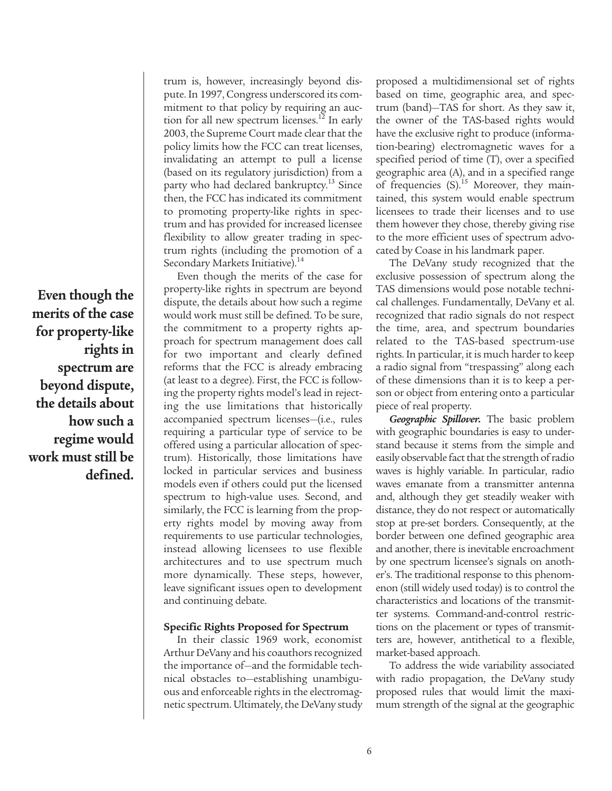**Even though the merits of the case for property-like rights in spectrum are beyond dispute, the details about how such a regime would work must still be defined.** 

trum is, however, increasingly beyond dispute. In 1997, Congress underscored its commitment to that policy by requiring an auction for all new spectrum licenses.<sup>12</sup> In early 2003, the Supreme Court made clear that the policy limits how the FCC can treat licenses, invalidating an attempt to pull a license (based on its regulatory jurisdiction) from a party who had declared bankruptcy.<sup>13</sup> Since then, the FCC has indicated its commitment to promoting property-like rights in spectrum and has provided for increased licensee flexibility to allow greater trading in spectrum rights (including the promotion of a Secondary Markets Initiative).<sup>14</sup>

Even though the merits of the case for property-like rights in spectrum are beyond dispute, the details about how such a regime would work must still be defined. To be sure, the commitment to a property rights approach for spectrum management does call for two important and clearly defined reforms that the FCC is already embracing (at least to a degree). First, the FCC is following the property rights model's lead in rejecting the use limitations that historically accompanied spectrum licenses—(i.e., rules requiring a particular type of service to be offered using a particular allocation of spectrum). Historically, those limitations have locked in particular services and business models even if others could put the licensed spectrum to high-value uses. Second, and similarly, the FCC is learning from the property rights model by moving away from requirements to use particular technologies, instead allowing licensees to use flexible architectures and to use spectrum much more dynamically. These steps, however, leave significant issues open to development and continuing debate.

#### **Specific Rights Proposed for Spectrum**

In their classic 1969 work, economist Arthur DeVany and his coauthors recognized the importance of—and the formidable technical obstacles to—establishing unambiguous and enforceable rights in the electromagnetic spectrum. Ultimately, the DeVany study proposed a multidimensional set of rights based on time, geographic area, and spectrum (band)—TAS for short. As they saw it, the owner of the TAS-based rights would have the exclusive right to produce (information-bearing) electromagnetic waves for a specified period of time (T), over a specified geographic area (A), and in a specified range of frequencies (S).<sup>15</sup> Moreover, they maintained, this system would enable spectrum licensees to trade their licenses and to use them however they chose, thereby giving rise to the more efficient uses of spectrum advocated by Coase in his landmark paper.

The DeVany study recognized that the exclusive possession of spectrum along the TAS dimensions would pose notable technical challenges. Fundamentally, DeVany et al. recognized that radio signals do not respect the time, area, and spectrum boundaries related to the TAS-based spectrum-use rights. In particular, it is much harder to keep a radio signal from "trespassing" along each of these dimensions than it is to keep a person or object from entering onto a particular piece of real property.

*Geographic Spillover.* The basic problem with geographic boundaries is easy to understand because it stems from the simple and easily observable fact that the strength of radio waves is highly variable. In particular, radio waves emanate from a transmitter antenna and, although they get steadily weaker with distance, they do not respect or automatically stop at pre-set borders. Consequently, at the border between one defined geographic area and another, there is inevitable encroachment by one spectrum licensee's signals on another's. The traditional response to this phenomenon (still widely used today) is to control the characteristics and locations of the transmitter systems. Command-and-control restrictions on the placement or types of transmitters are, however, antithetical to a flexible, market-based approach.

To address the wide variability associated with radio propagation, the DeVany study proposed rules that would limit the maximum strength of the signal at the geographic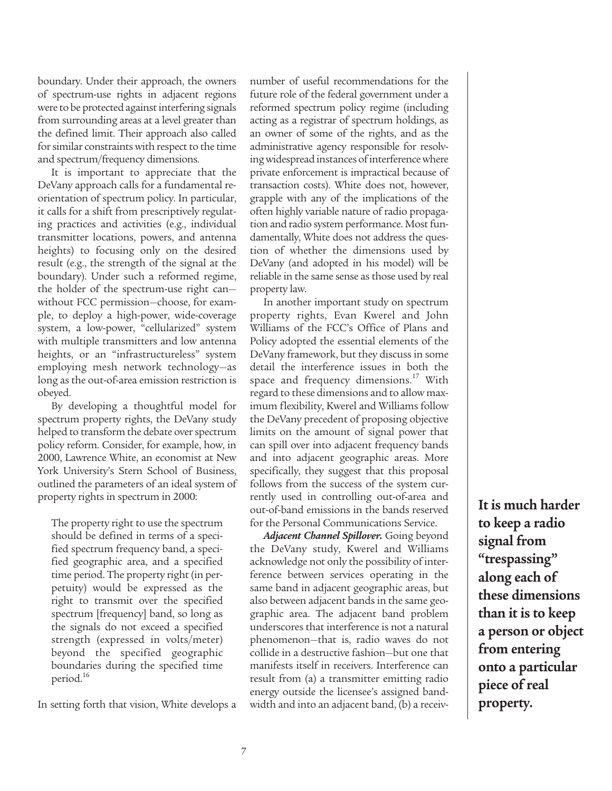boundary. Under their approach, the owners of spectrum-use rights in adjacent regions were to be protected against interfering signals from surrounding areas at a level greater than the defined limit. Their approach also called for similar constraints with respect to the time and spectrum/frequency dimensions.

It is important to appreciate that the DeVany approach calls for a fundamental reorientation of spectrum policy. In particular, it calls for a shift from prescriptively regulating practices and activities (e.g., individual transmitter locations, powers, and antenna heights) to focusing only on the desired result (e.g., the strength of the signal at the boundary). Under such a reformed regime, the holder of the spectrum-use right can without FCC permission—choose, for example, to deploy a high-power, wide-coverage system, a low-power, "cellularized" system with multiple transmitters and low antenna heights, or an "infrastructureless" system employing mesh network technology—as long as the out-of-area emission restriction is obeyed.

By developing a thoughtful model for spectrum property rights, the DeVany study helped to transform the debate over spectrum policy reform. Consider, for example, how, in 2000, Lawrence White, an economist at New York University's Stern School of Business, outlined the parameters of an ideal system of property rights in spectrum in 2000:

The property right to use the spectrum should be defined in terms of a specified spectrum frequency band, a specified geographic area, and a specified time period. The property right (in perpetuity) would be expressed as the right to transmit over the specified spectrum [frequency] band, so long as the signals do not exceed a specified strength (expressed in volts/meter) beyond the specified geographic boundaries during the specified time period.<sup>16</sup>

In setting forth that vision, White develops a

number of useful recommendations for the future role of the federal government under a reformed spectrum policy regime (including acting as a registrar of spectrum holdings, as an owner of some of the rights, and as the administrative agency responsible for resolving widespread instances of interference where private enforcement is impractical because of transaction costs). White does not, however, grapple with any of the implications of the often highly variable nature of radio propagation and radio system performance. Most fundamentally, White does not address the question of whether the dimensions used by DeVany (and adopted in his model) will be reliable in the same sense as those used by real property law.

In another important study on spectrum property rights, Evan Kwerel and John Williams of the FCC's Office of Plans and Policy adopted the essential elements of the DeVany framework, but they discuss in some detail the interference issues in both the space and frequency dimensions.<sup>17</sup> With regard to these dimensions and to allow maximum flexibility, Kwerel and Williams follow the DeVany precedent of proposing objective limits on the amount of signal power that can spill over into adjacent frequency bands and into adjacent geographic areas. More specifically, they suggest that this proposal follows from the success of the system currently used in controlling out-of-area and out-of-band emissions in the bands reserved for the Personal Communications Service.

*Adjacent Channel Spillover.* Going beyond the DeVany study, Kwerel and Williams acknowledge not only the possibility of interference between services operating in the same band in adjacent geographic areas, but also between adjacent bands in the same geographic area. The adjacent band problem underscores that interference is not a natural phenomenon—that is, radio waves do not collide in a destructive fashion—but one that manifests itself in receivers. Interference can result from (a) a transmitter emitting radio energy outside the licensee's assigned bandwidth and into an adjacent band, (b) a receiv**It is much harder to keep a radio signal from "trespassing" along each of these dimensions than it is to keep a person or object from entering onto a particular piece of real property.**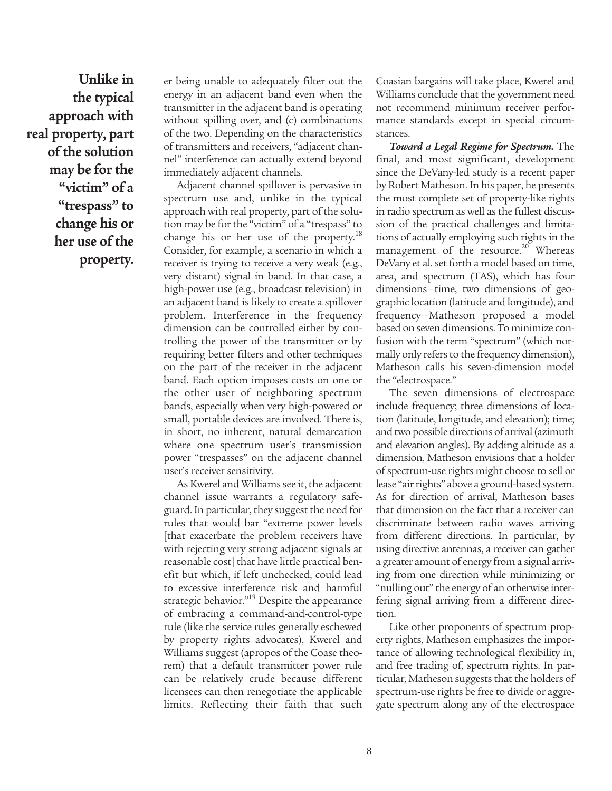**Unlike in the typical approach with real property, part of the solution may be for the "victim" of a "trespass" to change his or her use of the property.**

er being unable to adequately filter out the energy in an adjacent band even when the transmitter in the adjacent band is operating without spilling over, and (c) combinations of the two. Depending on the characteristics of transmitters and receivers, "adjacent channel" interference can actually extend beyond immediately adjacent channels.

Adjacent channel spillover is pervasive in spectrum use and, unlike in the typical approach with real property, part of the solution may be for the "victim" of a "trespass" to change his or her use of the property.<sup>18</sup> Consider, for example, a scenario in which a receiver is trying to receive a very weak (e.g., very distant) signal in band. In that case, a high-power use (e.g., broadcast television) in an adjacent band is likely to create a spillover problem. Interference in the frequency dimension can be controlled either by controlling the power of the transmitter or by requiring better filters and other techniques on the part of the receiver in the adjacent band. Each option imposes costs on one or the other user of neighboring spectrum bands, especially when very high-powered or small, portable devices are involved. There is, in short, no inherent, natural demarcation where one spectrum user's transmission power "trespasses" on the adjacent channel user's receiver sensitivity.

As Kwerel and Williams see it, the adjacent channel issue warrants a regulatory safeguard. In particular, they suggest the need for rules that would bar "extreme power levels [that exacerbate the problem receivers have with rejecting very strong adjacent signals at reasonable cost] that have little practical benefit but which, if left unchecked, could lead to excessive interference risk and harmful strategic behavior."<sup>19</sup> Despite the appearance of embracing a command-and-control-type rule (like the service rules generally eschewed by property rights advocates), Kwerel and Williams suggest (apropos of the Coase theorem) that a default transmitter power rule can be relatively crude because different licensees can then renegotiate the applicable limits. Reflecting their faith that such

Coasian bargains will take place, Kwerel and Williams conclude that the government need not recommend minimum receiver performance standards except in special circumstances.

*Toward a Legal Regime for Spectrum.* The final, and most significant, development since the DeVany-led study is a recent paper by Robert Matheson. In his paper, he presents the most complete set of property-like rights in radio spectrum as well as the fullest discussion of the practical challenges and limitations of actually employing such rights in the management of the resource.<sup>20</sup> Whereas DeVany et al. set forth a model based on time, area, and spectrum (TAS), which has four dimensions—time, two dimensions of geographic location (latitude and longitude), and frequency—Matheson proposed a model based on seven dimensions. To minimize confusion with the term "spectrum" (which normally only refers to the frequency dimension), Matheson calls his seven-dimension model the "electrospace."

The seven dimensions of electrospace include frequency; three dimensions of location (latitude, longitude, and elevation); time; and two possible directions of arrival (azimuth and elevation angles). By adding altitude as a dimension, Matheson envisions that a holder of spectrum-use rights might choose to sell or lease "air rights" above a ground-based system. As for direction of arrival, Matheson bases that dimension on the fact that a receiver can discriminate between radio waves arriving from different directions. In particular, by using directive antennas, a receiver can gather a greater amount of energy from a signal arriving from one direction while minimizing or "nulling out" the energy of an otherwise interfering signal arriving from a different direction.

Like other proponents of spectrum property rights, Matheson emphasizes the importance of allowing technological flexibility in, and free trading of, spectrum rights. In particular, Matheson suggests that the holders of spectrum-use rights be free to divide or aggregate spectrum along any of the electrospace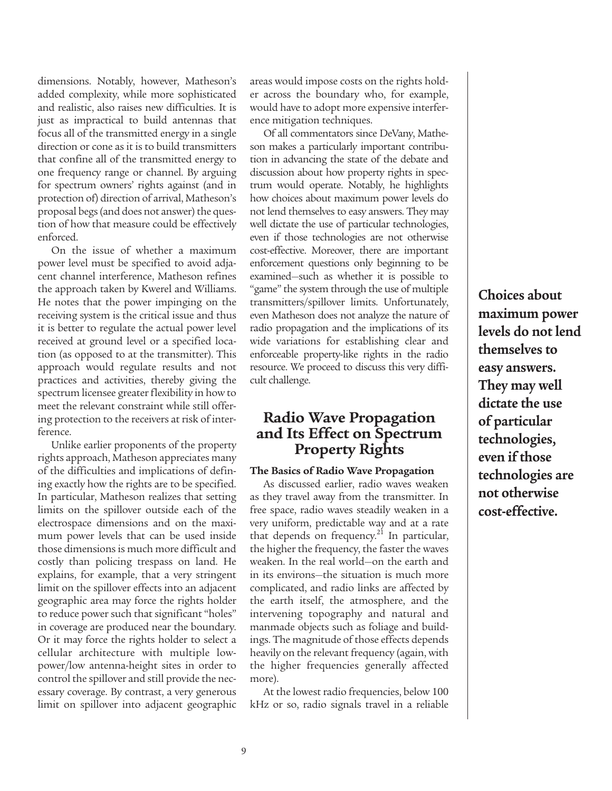dimensions. Notably, however, Matheson's added complexity, while more sophisticated and realistic, also raises new difficulties. It is just as impractical to build antennas that focus all of the transmitted energy in a single direction or cone as it is to build transmitters that confine all of the transmitted energy to one frequency range or channel. By arguing for spectrum owners' rights against (and in protection of) direction of arrival, Matheson's proposal begs (and does not answer) the question of how that measure could be effectively enforced.

On the issue of whether a maximum power level must be specified to avoid adjacent channel interference, Matheson refines the approach taken by Kwerel and Williams. He notes that the power impinging on the receiving system is the critical issue and thus it is better to regulate the actual power level received at ground level or a specified location (as opposed to at the transmitter). This approach would regulate results and not practices and activities, thereby giving the spectrum licensee greater flexibility in how to meet the relevant constraint while still offering protection to the receivers at risk of interference.

Unlike earlier proponents of the property rights approach, Matheson appreciates many of the difficulties and implications of defining exactly how the rights are to be specified. In particular, Matheson realizes that setting limits on the spillover outside each of the electrospace dimensions and on the maximum power levels that can be used inside those dimensions is much more difficult and costly than policing trespass on land. He explains, for example, that a very stringent limit on the spillover effects into an adjacent geographic area may force the rights holder to reduce power such that significant "holes" in coverage are produced near the boundary. Or it may force the rights holder to select a cellular architecture with multiple lowpower/low antenna-height sites in order to control the spillover and still provide the necessary coverage. By contrast, a very generous limit on spillover into adjacent geographic areas would impose costs on the rights holder across the boundary who, for example, would have to adopt more expensive interference mitigation techniques.

Of all commentators since DeVany, Matheson makes a particularly important contribution in advancing the state of the debate and discussion about how property rights in spectrum would operate. Notably, he highlights how choices about maximum power levels do not lend themselves to easy answers. They may well dictate the use of particular technologies, even if those technologies are not otherwise cost-effective. Moreover, there are important enforcement questions only beginning to be examined—such as whether it is possible to "game" the system through the use of multiple transmitters/spillover limits. Unfortunately, even Matheson does not analyze the nature of radio propagation and the implications of its wide variations for establishing clear and enforceable property-like rights in the radio resource. We proceed to discuss this very difficult challenge.

# **Radio Wave Propagation and Its Effect on Spectrum Property Rights**

#### **The Basics of Radio Wave Propagation**

As discussed earlier, radio waves weaken as they travel away from the transmitter. In free space, radio waves steadily weaken in a very uniform, predictable way and at a rate that depends on frequency.<sup>21</sup> In particular, the higher the frequency, the faster the waves weaken. In the real world—on the earth and in its environs—the situation is much more complicated, and radio links are affected by the earth itself, the atmosphere, and the intervening topography and natural and manmade objects such as foliage and buildings. The magnitude of those effects depends heavily on the relevant frequency (again, with the higher frequencies generally affected more).

At the lowest radio frequencies, below 100 kHz or so, radio signals travel in a reliable

**Choices about maximum power levels do not lend themselves to easy answers. They may well dictate the use of particular technologies, even if those technologies are not otherwise cost-effective.**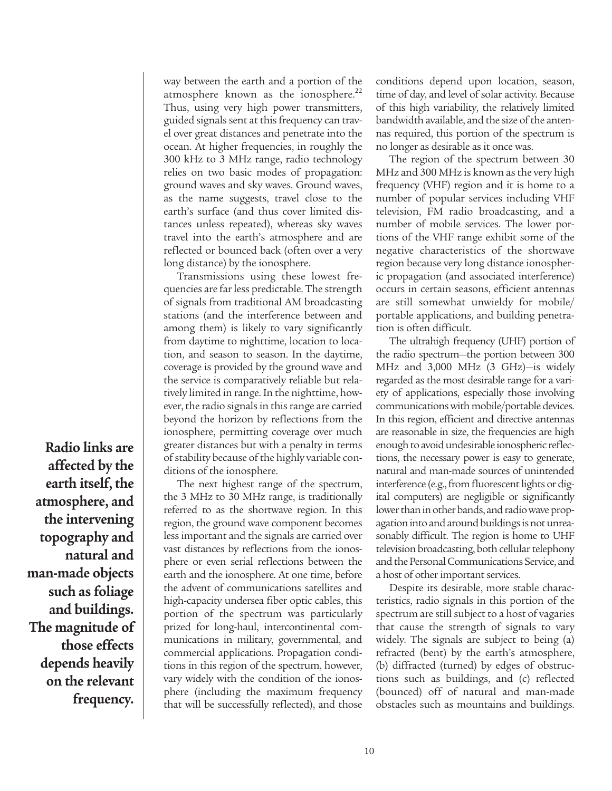way between the earth and a portion of the atmosphere known as the ionosphere.<sup>22</sup> Thus, using very high power transmitters, guided signals sent at this frequency can travel over great distances and penetrate into the ocean. At higher frequencies, in roughly the 300 kHz to 3 MHz range, radio technology relies on two basic modes of propagation: ground waves and sky waves. Ground waves, as the name suggests, travel close to the earth's surface (and thus cover limited distances unless repeated), whereas sky waves travel into the earth's atmosphere and are reflected or bounced back (often over a very long distance) by the ionosphere.

Transmissions using these lowest frequencies are far less predictable. The strength of signals from traditional AM broadcasting stations (and the interference between and among them) is likely to vary significantly from daytime to nighttime, location to location, and season to season. In the daytime, coverage is provided by the ground wave and the service is comparatively reliable but relatively limited in range. In the nighttime, however, the radio signals in this range are carried beyond the horizon by reflections from the ionosphere, permitting coverage over much greater distances but with a penalty in terms of stability because of the highly variable conditions of the ionosphere.

The next highest range of the spectrum, the 3 MHz to 30 MHz range, is traditionally referred to as the shortwave region. In this region, the ground wave component becomes less important and the signals are carried over vast distances by reflections from the ionosphere or even serial reflections between the earth and the ionosphere. At one time, before the advent of communications satellites and high-capacity undersea fiber optic cables, this portion of the spectrum was particularly prized for long-haul, intercontinental communications in military, governmental, and commercial applications. Propagation conditions in this region of the spectrum, however, vary widely with the condition of the ionosphere (including the maximum frequency that will be successfully reflected), and those

conditions depend upon location, season, time of day, and level of solar activity. Because of this high variability, the relatively limited bandwidth available, and the size of the antennas required, this portion of the spectrum is no longer as desirable as it once was.

The region of the spectrum between 30 MHz and 300 MHz is known as the very high frequency (VHF) region and it is home to a number of popular services including VHF television, FM radio broadcasting, and a number of mobile services. The lower portions of the VHF range exhibit some of the negative characteristics of the shortwave region because very long distance ionospheric propagation (and associated interference) occurs in certain seasons, efficient antennas are still somewhat unwieldy for mobile/ portable applications, and building penetration is often difficult.

The ultrahigh frequency (UHF) portion of the radio spectrum—the portion between 300 MHz and 3,000 MHz (3 GHz)—is widely regarded as the most desirable range for a variety of applications, especially those involving communications with mobile/portable devices. In this region, efficient and directive antennas are reasonable in size, the frequencies are high enough to avoid undesirable ionospheric reflections, the necessary power is easy to generate, natural and man-made sources of unintended interference (e.g., from fluorescent lights or digital computers) are negligible or significantly lower than in other bands, and radio wave propagation into and around buildings is not unreasonably difficult. The region is home to UHF television broadcasting, both cellular telephony and the Personal Communications Service, and a host of other important services.

Despite its desirable, more stable characteristics, radio signals in this portion of the spectrum are still subject to a host of vagaries that cause the strength of signals to vary widely. The signals are subject to being (a) refracted (bent) by the earth's atmosphere, (b) diffracted (turned) by edges of obstructions such as buildings, and (c) reflected (bounced) off of natural and man-made obstacles such as mountains and buildings.

**Radio links are affected by the earth itself, the atmosphere, and the intervening topography and natural and man-made objects such as foliage and buildings. The magnitude of those effects depends heavily on the relevant frequency.**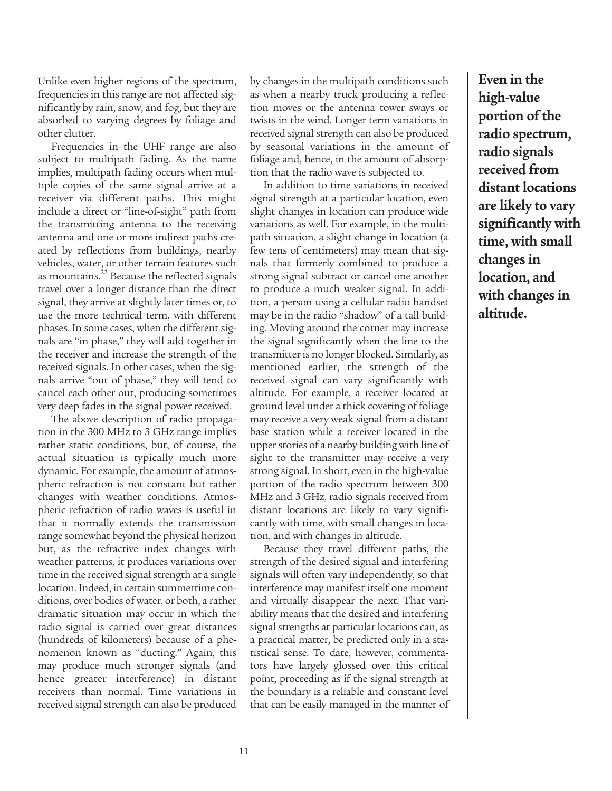Unlike even higher regions of the spectrum, frequencies in this range are not affected significantly by rain, snow, and fog, but they are absorbed to varying degrees by foliage and other clutter.

Frequencies in the UHF range are also subject to multipath fading. As the name implies, multipath fading occurs when multiple copies of the same signal arrive at a receiver via different paths. This might include a direct or "line-of-sight" path from the transmitting antenna to the receiving antenna and one or more indirect paths created by reflections from buildings, nearby vehicles, water, or other terrain features such as mountains.<sup>23</sup> Because the reflected signals travel over a longer distance than the direct signal, they arrive at slightly later times or, to use the more technical term, with different phases. In some cases, when the different signals are "in phase," they will add together in the receiver and increase the strength of the received signals. In other cases, when the signals arrive "out of phase," they will tend to cancel each other out, producing sometimes very deep fades in the signal power received.

The above description of radio propagation in the 300 MHz to 3 GHz range implies rather static conditions, but, of course, the actual situation is typically much more dynamic. For example, the amount of atmospheric refraction is not constant but rather changes with weather conditions. Atmospheric refraction of radio waves is useful in that it normally extends the transmission range somewhat beyond the physical horizon but, as the refractive index changes with weather patterns, it produces variations over time in the received signal strength at a single location. Indeed, in certain summertime conditions, over bodies of water, or both, a rather dramatic situation may occur in which the radio signal is carried over great distances (hundreds of kilometers) because of a phenomenon known as "ducting." Again, this may produce much stronger signals (and hence greater interference) in distant receivers than normal. Time variations in received signal strength can also be produced by changes in the multipath conditions such as when a nearby truck producing a reflection moves or the antenna tower sways or twists in the wind. Longer term variations in received signal strength can also be produced by seasonal variations in the amount of foliage and, hence, in the amount of absorption that the radio wave is subjected to.

In addition to time variations in received signal strength at a particular location, even slight changes in location can produce wide variations as well. For example, in the multipath situation, a slight change in location (a few tens of centimeters) may mean that signals that formerly combined to produce a strong signal subtract or cancel one another to produce a much weaker signal. In addition, a person using a cellular radio handset may be in the radio "shadow" of a tall building. Moving around the corner may increase the signal significantly when the line to the transmitter is no longer blocked. Similarly, as mentioned earlier, the strength of the received signal can vary significantly with altitude. For example, a receiver located at ground level under a thick covering of foliage may receive a very weak signal from a distant base station while a receiver located in the upper stories of a nearby building with line of sight to the transmitter may receive a very strong signal. In short, even in the high-value portion of the radio spectrum between 300 MHz and 3 GHz, radio signals received from distant locations are likely to vary significantly with time, with small changes in location, and with changes in altitude.

Because they travel different paths, the strength of the desired signal and interfering signals will often vary independently, so that interference may manifest itself one moment and virtually disappear the next. That variability means that the desired and interfering signal strengths at particular locations can, as a practical matter, be predicted only in a statistical sense. To date, however, commentators have largely glossed over this critical point, proceeding as if the signal strength at the boundary is a reliable and constant level that can be easily managed in the manner of

**Even in the high-value portion of the radio spectrum, radio signals received from distant locations are likely to vary significantly with time, with small changes in location, and with changes in altitude.**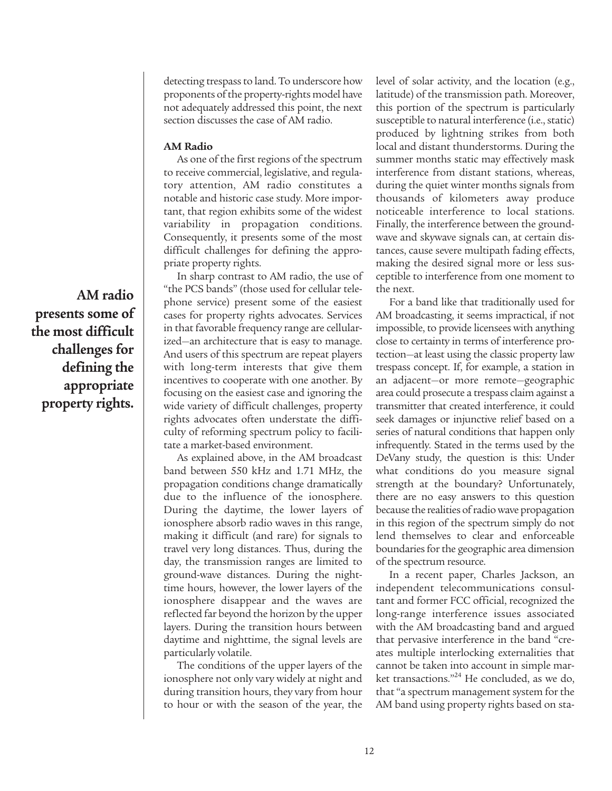detecting trespass to land. To underscore how proponents of the property-rights model have not adequately addressed this point, the next section discusses the case of AM radio.

#### **AM Radio**

As one of the first regions of the spectrum to receive commercial, legislative, and regulatory attention, AM radio constitutes a notable and historic case study. More important, that region exhibits some of the widest variability in propagation conditions. Consequently, it presents some of the most difficult challenges for defining the appropriate property rights.

In sharp contrast to AM radio, the use of "the PCS bands" (those used for cellular telephone service) present some of the easiest cases for property rights advocates. Services in that favorable frequency range are cellularized—an architecture that is easy to manage. And users of this spectrum are repeat players with long-term interests that give them incentives to cooperate with one another. By focusing on the easiest case and ignoring the wide variety of difficult challenges, property rights advocates often understate the difficulty of reforming spectrum policy to facilitate a market-based environment.

As explained above, in the AM broadcast band between 550 kHz and 1.71 MHz, the propagation conditions change dramatically due to the influence of the ionosphere. During the daytime, the lower layers of ionosphere absorb radio waves in this range, making it difficult (and rare) for signals to travel very long distances. Thus, during the day, the transmission ranges are limited to ground-wave distances. During the nighttime hours, however, the lower layers of the ionosphere disappear and the waves are reflected far beyond the horizon by the upper layers. During the transition hours between daytime and nighttime, the signal levels are particularly volatile.

The conditions of the upper layers of the ionosphere not only vary widely at night and during transition hours, they vary from hour to hour or with the season of the year, the level of solar activity, and the location (e.g., latitude) of the transmission path. Moreover, this portion of the spectrum is particularly susceptible to natural interference (i.e., static) produced by lightning strikes from both local and distant thunderstorms. During the summer months static may effectively mask interference from distant stations, whereas, during the quiet winter months signals from thousands of kilometers away produce noticeable interference to local stations. Finally, the interference between the groundwave and skywave signals can, at certain distances, cause severe multipath fading effects, making the desired signal more or less susceptible to interference from one moment to the next.

For a band like that traditionally used for AM broadcasting, it seems impractical, if not impossible, to provide licensees with anything close to certainty in terms of interference protection—at least using the classic property law trespass concept. If, for example, a station in an adjacent—or more remote—geographic area could prosecute a trespass claim against a transmitter that created interference, it could seek damages or injunctive relief based on a series of natural conditions that happen only infrequently. Stated in the terms used by the DeVany study, the question is this: Under what conditions do you measure signal strength at the boundary? Unfortunately, there are no easy answers to this question because the realities of radio wave propagation in this region of the spectrum simply do not lend themselves to clear and enforceable boundaries for the geographic area dimension of the spectrum resource.

In a recent paper, Charles Jackson, an independent telecommunications consultant and former FCC official, recognized the long-range interference issues associated with the AM broadcasting band and argued that pervasive interference in the band "creates multiple interlocking externalities that cannot be taken into account in simple market transactions."<sup>24</sup> He concluded, as we do, that "a spectrum management system for the AM band using property rights based on sta-

**AM radio presents some of the most difficult challenges for defining the appropriate property rights.**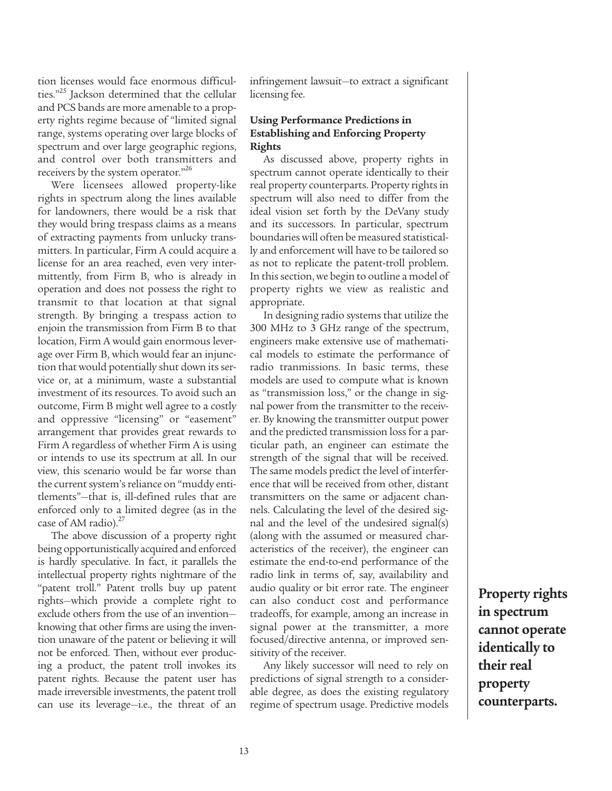tion licenses would face enormous difficulties."25 Jackson determined that the cellular and PCS bands are more amenable to a property rights regime because of "limited signal range, systems operating over large blocks of spectrum and over large geographic regions, and control over both transmitters and receivers by the system operator."<sup>26</sup>

Were licensees allowed property-like rights in spectrum along the lines available for landowners, there would be a risk that they would bring trespass claims as a means of extracting payments from unlucky transmitters. In particular, Firm A could acquire a license for an area reached, even very intermittently, from Firm B, who is already in operation and does not possess the right to transmit to that location at that signal strength. By bringing a trespass action to enjoin the transmission from Firm B to that location, Firm A would gain enormous leverage over Firm B, which would fear an injunction that would potentially shut down its service or, at a minimum, waste a substantial investment of its resources. To avoid such an outcome, Firm B might well agree to a costly and oppressive "licensing" or "easement" arrangement that provides great rewards to Firm A regardless of whether Firm A is using or intends to use its spectrum at all. In our view, this scenario would be far worse than the current system's reliance on "muddy entitlements"—that is, ill-defined rules that are enforced only to a limited degree (as in the case of AM radio).<sup>27</sup>

The above discussion of a property right being opportunistically acquired and enforced is hardly speculative. In fact, it parallels the intellectual property rights nightmare of the "patent troll." Patent trolls buy up patent rights—which provide a complete right to exclude others from the use of an invention knowing that other firms are using the invention unaware of the patent or believing it will not be enforced. Then, without ever producing a product, the patent troll invokes its patent rights. Because the patent user has made irreversible investments, the patent troll can use its leverage—i.e., the threat of an infringement lawsuit—to extract a significant licensing fee.

### **Using Performance Predictions in Establishing and Enforcing Property Rights**

As discussed above, property rights in spectrum cannot operate identically to their real property counterparts. Property rights in spectrum will also need to differ from the ideal vision set forth by the DeVany study and its successors. In particular, spectrum boundaries will often be measured statistically and enforcement will have to be tailored so as not to replicate the patent-troll problem. In this section, we begin to outline a model of property rights we view as realistic and appropriate.

In designing radio systems that utilize the 300 MHz to 3 GHz range of the spectrum, engineers make extensive use of mathematical models to estimate the performance of radio tranmissions. In basic terms, these models are used to compute what is known as "transmission loss," or the change in signal power from the transmitter to the receiver. By knowing the transmitter output power and the predicted transmission loss for a particular path, an engineer can estimate the strength of the signal that will be received. The same models predict the level of interference that will be received from other, distant transmitters on the same or adjacent channels. Calculating the level of the desired signal and the level of the undesired signal(s) (along with the assumed or measured characteristics of the receiver), the engineer can estimate the end-to-end performance of the radio link in terms of, say, availability and audio quality or bit error rate. The engineer can also conduct cost and performance tradeoffs, for example, among an increase in signal power at the transmitter, a more focused/directive antenna, or improved sensitivity of the receiver.

Any likely successor will need to rely on predictions of signal strength to a considerable degree, as does the existing regulatory regime of spectrum usage. Predictive models **Property rights in spectrum cannot operate identically to their real property counterparts.**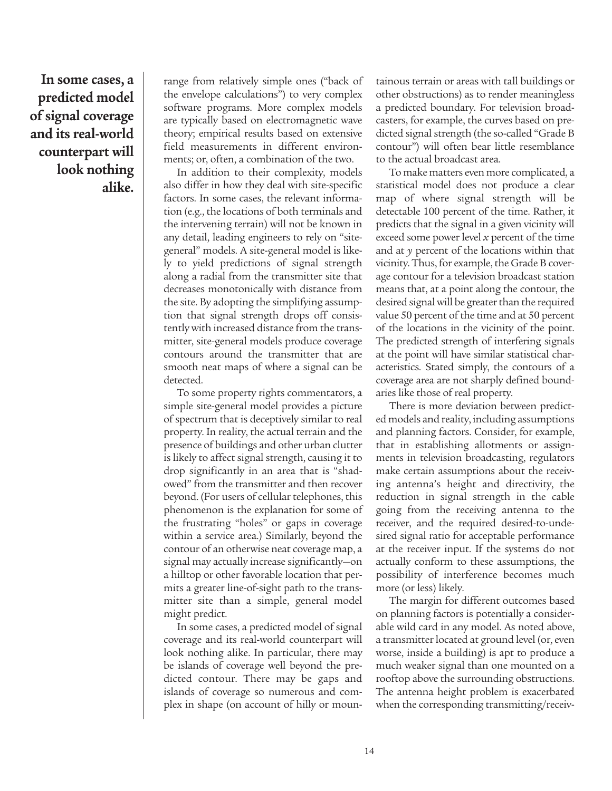**In some cases, a predicted model of signal coverage and its real-world counterpart will look nothing alike.** 

range from relatively simple ones ("back of the envelope calculations") to very complex software programs. More complex models are typically based on electromagnetic wave theory; empirical results based on extensive field measurements in different environments; or, often, a combination of the two.

In addition to their complexity, models also differ in how they deal with site-specific factors. In some cases, the relevant information (e.g., the locations of both terminals and the intervening terrain) will not be known in any detail, leading engineers to rely on "sitegeneral" models. A site-general model is likely to yield predictions of signal strength along a radial from the transmitter site that decreases monotonically with distance from the site. By adopting the simplifying assumption that signal strength drops off consistently with increased distance from the transmitter, site-general models produce coverage contours around the transmitter that are smooth neat maps of where a signal can be detected.

To some property rights commentators, a simple site-general model provides a picture of spectrum that is deceptively similar to real property. In reality, the actual terrain and the presence of buildings and other urban clutter is likely to affect signal strength, causing it to drop significantly in an area that is "shadowed" from the transmitter and then recover beyond. (For users of cellular telephones, this phenomenon is the explanation for some of the frustrating "holes" or gaps in coverage within a service area.) Similarly, beyond the contour of an otherwise neat coverage map, a signal may actually increase significantly—on a hilltop or other favorable location that permits a greater line-of-sight path to the transmitter site than a simple, general model might predict.

In some cases, a predicted model of signal coverage and its real-world counterpart will look nothing alike. In particular, there may be islands of coverage well beyond the predicted contour. There may be gaps and islands of coverage so numerous and complex in shape (on account of hilly or mountainous terrain or areas with tall buildings or other obstructions) as to render meaningless a predicted boundary. For television broadcasters, for example, the curves based on predicted signal strength (the so-called "Grade B contour") will often bear little resemblance to the actual broadcast area.

To make matters even more complicated, a statistical model does not produce a clear map of where signal strength will be detectable 100 percent of the time. Rather, it predicts that the signal in a given vicinity will exceed some power level *x* percent of the time and at *y* percent of the locations within that vicinity. Thus, for example, the Grade B coverage contour for a television broadcast station means that, at a point along the contour, the desired signal will be greater than the required value 50 percent of the time and at 50 percent of the locations in the vicinity of the point. The predicted strength of interfering signals at the point will have similar statistical characteristics. Stated simply, the contours of a coverage area are not sharply defined boundaries like those of real property.

There is more deviation between predicted models and reality, including assumptions and planning factors. Consider, for example, that in establishing allotments or assignments in television broadcasting, regulators make certain assumptions about the receiving antenna's height and directivity, the reduction in signal strength in the cable going from the receiving antenna to the receiver, and the required desired-to-undesired signal ratio for acceptable performance at the receiver input. If the systems do not actually conform to these assumptions, the possibility of interference becomes much more (or less) likely.

The margin for different outcomes based on planning factors is potentially a considerable wild card in any model. As noted above, a transmitter located at ground level (or, even worse, inside a building) is apt to produce a much weaker signal than one mounted on a rooftop above the surrounding obstructions. The antenna height problem is exacerbated when the corresponding transmitting/receiv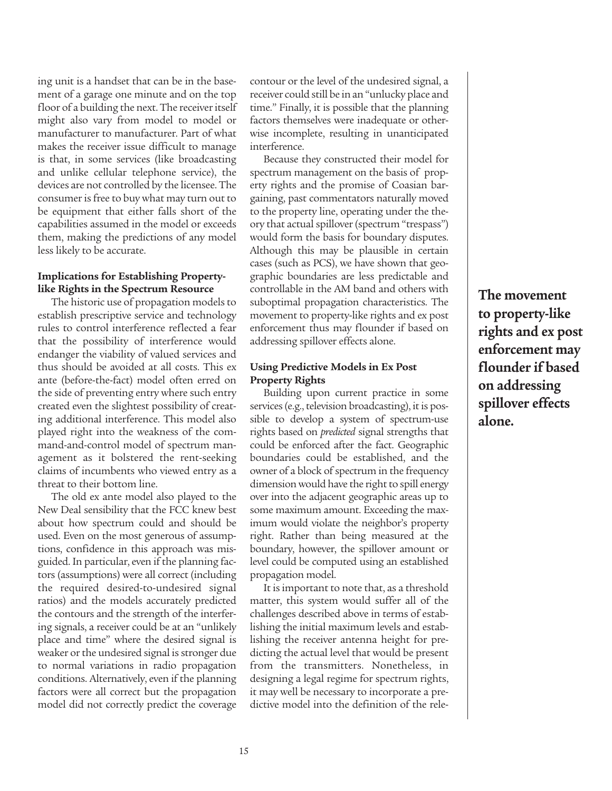ing unit is a handset that can be in the basement of a garage one minute and on the top floor of a building the next. The receiver itself might also vary from model to model or manufacturer to manufacturer. Part of what makes the receiver issue difficult to manage is that, in some services (like broadcasting and unlike cellular telephone service), the devices are not controlled by the licensee. The consumer is free to buy what may turn out to be equipment that either falls short of the capabilities assumed in the model or exceeds them, making the predictions of any model less likely to be accurate.

### **Implications for Establishing Propertylike Rights in the Spectrum Resource**

The historic use of propagation models to establish prescriptive service and technology rules to control interference reflected a fear that the possibility of interference would endanger the viability of valued services and thus should be avoided at all costs. This ex ante (before-the-fact) model often erred on the side of preventing entry where such entry created even the slightest possibility of creating additional interference. This model also played right into the weakness of the command-and-control model of spectrum management as it bolstered the rent-seeking claims of incumbents who viewed entry as a threat to their bottom line.

The old ex ante model also played to the New Deal sensibility that the FCC knew best about how spectrum could and should be used. Even on the most generous of assumptions, confidence in this approach was misguided. In particular, even if the planning factors (assumptions) were all correct (including the required desired-to-undesired signal ratios) and the models accurately predicted the contours and the strength of the interfering signals, a receiver could be at an "unlikely place and time" where the desired signal is weaker or the undesired signal is stronger due to normal variations in radio propagation conditions. Alternatively, even if the planning factors were all correct but the propagation model did not correctly predict the coverage

contour or the level of the undesired signal, a receiver could still be in an "unlucky place and time." Finally, it is possible that the planning factors themselves were inadequate or otherwise incomplete, resulting in unanticipated interference.

Because they constructed their model for spectrum management on the basis of property rights and the promise of Coasian bargaining, past commentators naturally moved to the property line, operating under the theory that actual spillover (spectrum "trespass") would form the basis for boundary disputes. Although this may be plausible in certain cases (such as PCS), we have shown that geographic boundaries are less predictable and controllable in the AM band and others with suboptimal propagation characteristics. The movement to property-like rights and ex post enforcement thus may flounder if based on addressing spillover effects alone.

### **Using Predictive Models in Ex Post Property Rights**

Building upon current practice in some services (e.g., television broadcasting), it is possible to develop a system of spectrum-use rights based on *predicted* signal strengths that could be enforced after the fact. Geographic boundaries could be established, and the owner of a block of spectrum in the frequency dimension would have the right to spill energy over into the adjacent geographic areas up to some maximum amount. Exceeding the maximum would violate the neighbor's property right. Rather than being measured at the boundary, however, the spillover amount or level could be computed using an established propagation model.

It is important to note that, as a threshold matter, this system would suffer all of the challenges described above in terms of establishing the initial maximum levels and establishing the receiver antenna height for predicting the actual level that would be present from the transmitters. Nonetheless, in designing a legal regime for spectrum rights, it may well be necessary to incorporate a predictive model into the definition of the rele-

**The movement to property-like rights and ex post enforcement may flounder if based on addressing spillover effects alone.**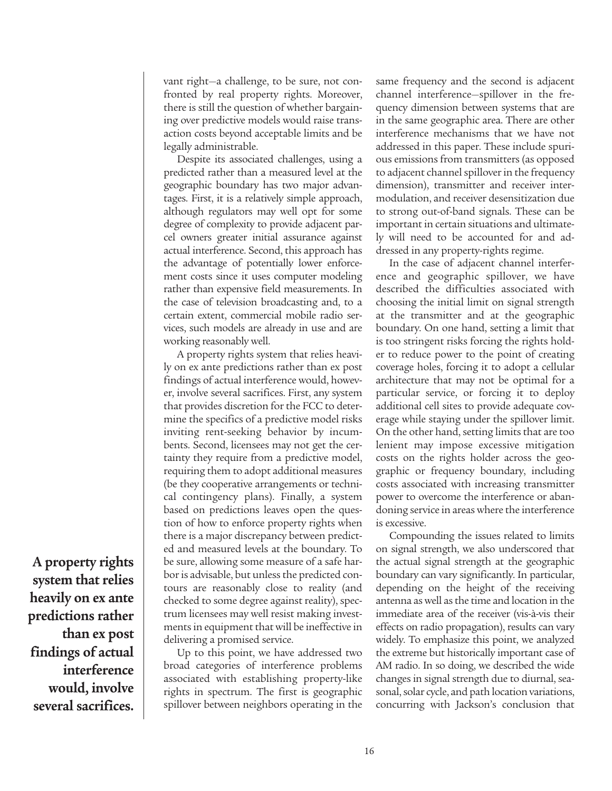vant right—a challenge, to be sure, not confronted by real property rights. Moreover, there is still the question of whether bargaining over predictive models would raise transaction costs beyond acceptable limits and be legally administrable.

Despite its associated challenges, using a predicted rather than a measured level at the geographic boundary has two major advantages. First, it is a relatively simple approach, although regulators may well opt for some degree of complexity to provide adjacent parcel owners greater initial assurance against actual interference. Second, this approach has the advantage of potentially lower enforcement costs since it uses computer modeling rather than expensive field measurements. In the case of television broadcasting and, to a certain extent, commercial mobile radio services, such models are already in use and are working reasonably well.

A property rights system that relies heavily on ex ante predictions rather than ex post findings of actual interference would, however, involve several sacrifices. First, any system that provides discretion for the FCC to determine the specifics of a predictive model risks inviting rent-seeking behavior by incumbents. Second, licensees may not get the certainty they require from a predictive model, requiring them to adopt additional measures (be they cooperative arrangements or technical contingency plans). Finally, a system based on predictions leaves open the question of how to enforce property rights when there is a major discrepancy between predicted and measured levels at the boundary. To be sure, allowing some measure of a safe harbor is advisable, but unless the predicted contours are reasonably close to reality (and checked to some degree against reality), spectrum licensees may well resist making investments in equipment that will be ineffective in delivering a promised service.

Up to this point, we have addressed two broad categories of interference problems associated with establishing property-like rights in spectrum. The first is geographic spillover between neighbors operating in the same frequency and the second is adjacent channel interference—spillover in the frequency dimension between systems that are in the same geographic area. There are other interference mechanisms that we have not addressed in this paper. These include spurious emissions from transmitters (as opposed to adjacent channel spillover in the frequency dimension), transmitter and receiver intermodulation, and receiver desensitization due to strong out-of-band signals. These can be important in certain situations and ultimately will need to be accounted for and addressed in any property-rights regime.

In the case of adjacent channel interference and geographic spillover, we have described the difficulties associated with choosing the initial limit on signal strength at the transmitter and at the geographic boundary. On one hand, setting a limit that is too stringent risks forcing the rights holder to reduce power to the point of creating coverage holes, forcing it to adopt a cellular architecture that may not be optimal for a particular service, or forcing it to deploy additional cell sites to provide adequate coverage while staying under the spillover limit. On the other hand, setting limits that are too lenient may impose excessive mitigation costs on the rights holder across the geographic or frequency boundary, including costs associated with increasing transmitter power to overcome the interference or abandoning service in areas where the interference is excessive.

Compounding the issues related to limits on signal strength, we also underscored that the actual signal strength at the geographic boundary can vary significantly. In particular, depending on the height of the receiving antenna as well as the time and location in the immediate area of the receiver (vis-à-vis their effects on radio propagation), results can vary widely. To emphasize this point, we analyzed the extreme but historically important case of AM radio. In so doing, we described the wide changes in signal strength due to diurnal, seasonal, solar cycle, and path location variations, concurring with Jackson's conclusion that

**A property rights system that relies heavily on ex ante predictions rather than ex post findings of actual interference would, involve several sacrifices.**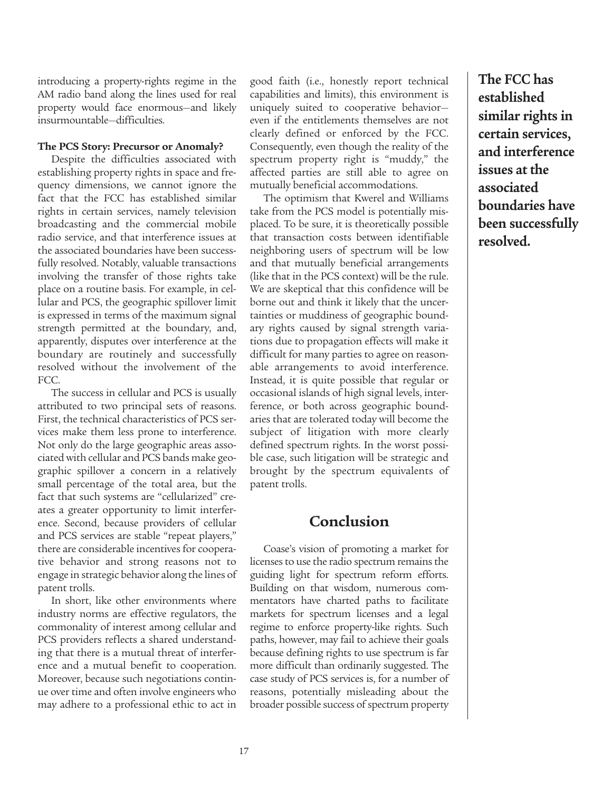introducing a property-rights regime in the AM radio band along the lines used for real property would face enormous—and likely insurmountable—difficulties.

#### **The PCS Story: Precursor or Anomaly?**

Despite the difficulties associated with establishing property rights in space and frequency dimensions, we cannot ignore the fact that the FCC has established similar rights in certain services, namely television broadcasting and the commercial mobile radio service, and that interference issues at the associated boundaries have been successfully resolved. Notably, valuable transactions involving the transfer of those rights take place on a routine basis. For example, in cellular and PCS, the geographic spillover limit is expressed in terms of the maximum signal strength permitted at the boundary, and, apparently, disputes over interference at the boundary are routinely and successfully resolved without the involvement of the FCC.

The success in cellular and PCS is usually attributed to two principal sets of reasons. First, the technical characteristics of PCS services make them less prone to interference. Not only do the large geographic areas associated with cellular and PCS bands make geographic spillover a concern in a relatively small percentage of the total area, but the fact that such systems are "cellularized" creates a greater opportunity to limit interference. Second, because providers of cellular and PCS services are stable "repeat players," there are considerable incentives for cooperative behavior and strong reasons not to engage in strategic behavior along the lines of patent trolls.

In short, like other environments where industry norms are effective regulators, the commonality of interest among cellular and PCS providers reflects a shared understanding that there is a mutual threat of interference and a mutual benefit to cooperation. Moreover, because such negotiations continue over time and often involve engineers who may adhere to a professional ethic to act in good faith (i.e., honestly report technical capabilities and limits), this environment is uniquely suited to cooperative behavior even if the entitlements themselves are not clearly defined or enforced by the FCC. Consequently, even though the reality of the spectrum property right is "muddy," the affected parties are still able to agree on mutually beneficial accommodations.

The optimism that Kwerel and Williams take from the PCS model is potentially misplaced. To be sure, it is theoretically possible that transaction costs between identifiable neighboring users of spectrum will be low and that mutually beneficial arrangements (like that in the PCS context) will be the rule. We are skeptical that this confidence will be borne out and think it likely that the uncertainties or muddiness of geographic boundary rights caused by signal strength variations due to propagation effects will make it difficult for many parties to agree on reasonable arrangements to avoid interference. Instead, it is quite possible that regular or occasional islands of high signal levels, interference, or both across geographic boundaries that are tolerated today will become the subject of litigation with more clearly defined spectrum rights. In the worst possible case, such litigation will be strategic and brought by the spectrum equivalents of patent trolls.

### **Conclusion**

Coase's vision of promoting a market for licenses to use the radio spectrum remains the guiding light for spectrum reform efforts. Building on that wisdom, numerous commentators have charted paths to facilitate markets for spectrum licenses and a legal regime to enforce property-like rights. Such paths, however, may fail to achieve their goals because defining rights to use spectrum is far more difficult than ordinarily suggested. The case study of PCS services is, for a number of reasons, potentially misleading about the broader possible success of spectrum property

**The FCC has established similar rights in certain services, and interference issues at the associated boundaries have been successfully resolved.**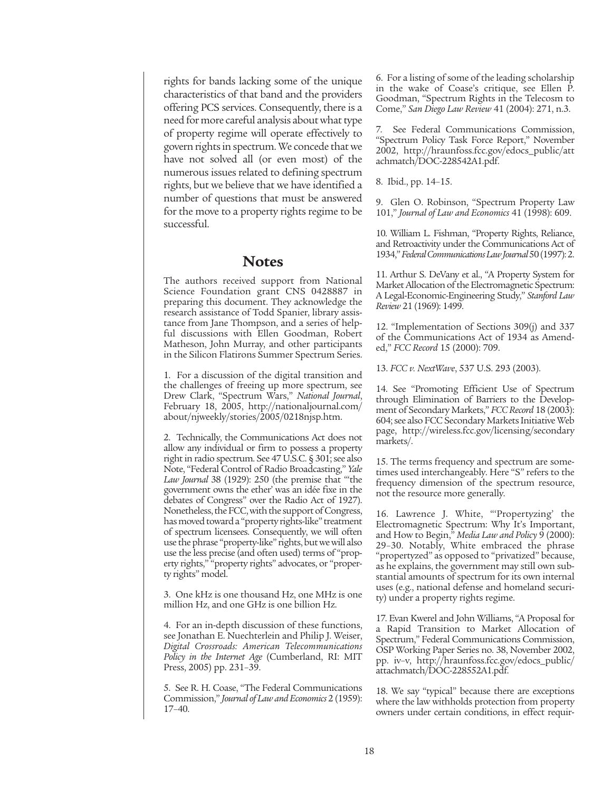rights for bands lacking some of the unique characteristics of that band and the providers offering PCS services. Consequently, there is a need for more careful analysis about what type of property regime will operate effectively to govern rights in spectrum. We concede that we have not solved all (or even most) of the numerous issues related to defining spectrum rights, but we believe that we have identified a number of questions that must be answered for the move to a property rights regime to be successful.

### **Notes**

The authors received support from National Science Foundation grant CNS 0428887 in preparing this document. They acknowledge the research assistance of Todd Spanier, library assistance from Jane Thompson, and a series of helpful discussions with Ellen Goodman, Robert Matheson, John Murray, and other participants in the Silicon Flatirons Summer Spectrum Series.

1. For a discussion of the digital transition and the challenges of freeing up more spectrum, see Drew Clark, "Spectrum Wars," *National Journal*, February 18, 2005, http://nationaljournal.com/ about/njweekly/stories/2005/0218njsp.htm.

2. Technically, the Communications Act does not allow any individual or firm to possess a property right in radio spectrum. See 47 U.S.C. § 301; see also Note, "Federal Control of Radio Broadcasting," *Yale Law Journal* 38 (1929): 250 (the premise that "'the government owns the ether' was an idée fixe in the debates of Congress" over the Radio Act of 1927). Nonetheless, the FCC, with the support of Congress, has moved toward a "property rights-like" treatment of spectrum licensees. Consequently, we will often use the phrase "property-like" rights, but we will also use the less precise (and often used) terms of "property rights," "property rights" advocates, or "property rights" model.

3. One kHz is one thousand Hz, one MHz is one million Hz, and one GHz is one billion Hz.

4. For an in-depth discussion of these functions, see Jonathan E. Nuechterlein and Philip J. Weiser, *Digital Crossroads: American Telecommunications Policy in the Internet Age* (Cumberland, RI: MIT Press, 2005) pp. 231–39.

5. See R. H. Coase, "The Federal Communications Commission," *Journal of Law and Economics* 2 (1959): 17–40.

6. For a listing of some of the leading scholarship in the wake of Coase's critique, see Ellen P. Goodman, "Spectrum Rights in the Telecosm to Come," *San Diego Law Review* 41 (2004): 271, n.3.

7. See Federal Communications Commission, "Spectrum Policy Task Force Report," November 2002, http://hraunfoss.fcc.gov/edocs\_public/att achmatch/DOC-228542A1.pdf.

8. Ibid., pp. 14–15.

9. Glen O. Robinson, "Spectrum Property Law 101," *Journal of Law and Economics* 41 (1998): 609.

10. William L. Fishman, "Property Rights, Reliance, and Retroactivity under the Communications Act of 1934," *Federal Communications Law Journal* 50 (1997): 2.

11. Arthur S. DeVany et al., "A Property System for Market Allocation of the Electromagnetic Spectrum: A Legal-Economic-Engineering Study," *Stanford Law Review* 21 (1969): 1499.

12. "Implementation of Sections 309(j) and 337 of the Communications Act of 1934 as Amended," *FCC Record* 15 (2000): 709.

13. *FCC v. NextWave*, 537 U.S. 293 (2003).

14. See "Promoting Efficient Use of Spectrum through Elimination of Barriers to the Development of Secondary Markets," *FCC Record* 18 (2003): 604; see also FCC Secondary Markets Initiative Web page, http://wireless.fcc.gov/licensing/secondary markets/.

15. The terms frequency and spectrum are sometimes used interchangeably. Here "S" refers to the frequency dimension of the spectrum resource, not the resource more generally.

16. Lawrence J. White, "'Propertyzing' the Electromagnetic Spectrum: Why It's Important, and How to Begin," *Media Law and Policy* 9 (2000): 29–30. Notably, White embraced the phrase "propertyzed" as opposed to "privatized" because, as he explains, the government may still own substantial amounts of spectrum for its own internal uses (e.g., national defense and homeland security) under a property rights regime.

17. Evan Kwerel and John Williams, "A Proposal for a Rapid Transition to Market Allocation of Spectrum," Federal Communications Commission, OSP Working Paper Series no. 38, November 2002, pp. iv–v, http://hraunfoss.fcc.gov/edocs\_public/ attachmatch/DOC-228552A1.pdf.

18. We say "typical" because there are exceptions where the law withholds protection from property owners under certain conditions, in effect requir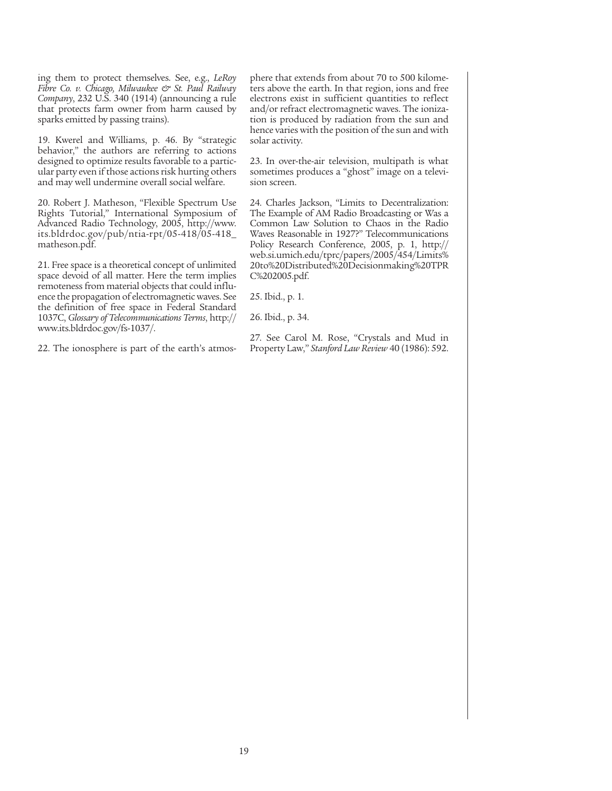ing them to protect themselves. See, e.g., *LeRoy Fibre Co. v. Chicago, Milwaukee & St. Paul Railway Company*, 232 U.S. 340 (1914) (announcing a rule that protects farm owner from harm caused by sparks emitted by passing trains).

19. Kwerel and Williams, p. 46. By "strategic behavior," the authors are referring to actions designed to optimize results favorable to a particular party even if those actions risk hurting others and may well undermine overall social welfare.

20. Robert J. Matheson, "Flexible Spectrum Use Rights Tutorial," International Symposium of Advanced Radio Technology, 2005, http://www. its.bldrdoc.gov/pub/ntia-rpt/05-418/05-418\_ matheson.pdf.

21. Free space is a theoretical concept of unlimited space devoid of all matter. Here the term implies remoteness from material objects that could influence the propagation of electromagnetic waves. See the definition of free space in Federal Standard 1037C, *Glossary of Telecommunications Terms*, http:// www.its.bldrdoc.gov/fs-1037/.

22. The ionosphere is part of the earth's atmos-

phere that extends from about 70 to 500 kilometers above the earth. In that region, ions and free electrons exist in sufficient quantities to reflect and/or refract electromagnetic waves. The ionization is produced by radiation from the sun and hence varies with the position of the sun and with solar activity.

23. In over-the-air television, multipath is what sometimes produces a "ghost" image on a television screen.

24. Charles Jackson, "Limits to Decentralization: The Example of AM Radio Broadcasting or Was a Common Law Solution to Chaos in the Radio Waves Reasonable in 1927?" Telecommunications Policy Research Conference, 2005, p. 1, http:// web.si.umich.edu/tprc/papers/2005/454/Limits% 20to%20Distributed%20Decisionmaking%20TPR C%202005.pdf.

25. Ibid., p. 1.

26. Ibid., p. 34.

27. See Carol M. Rose, "Crystals and Mud in Property Law," *Stanford Law Review* 40 (1986): 592.